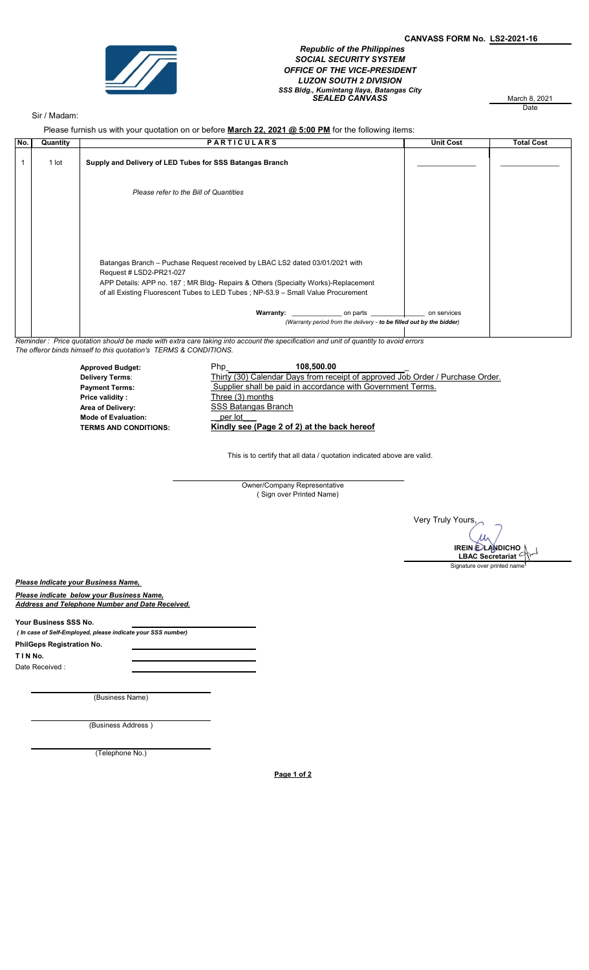

 Republic of the Philippines SOCIAL SECURITY SYSTEM OFFICE OF THE VICE-PRESIDENT LUZON SOUTH 2 DIVISION SSS Bidg., Kumintang Ilaya, Batangas City<br>SEALED CANVASS March 8, 2021

March 8, 2021<br>Date

## Sir / Madam:

Please furnish us with your quotation on or before March 22, 2021 @ 5:00 PM for the following items:

| No. | Quantity                                                                                                                             | <b>PARTICULARS</b>                                                                                                                                                                           | <b>Unit Cost</b> | <b>Total Cost</b> |  |
|-----|--------------------------------------------------------------------------------------------------------------------------------------|----------------------------------------------------------------------------------------------------------------------------------------------------------------------------------------------|------------------|-------------------|--|
|     | 1 lot                                                                                                                                | Supply and Delivery of LED Tubes for SSS Batangas Branch                                                                                                                                     |                  |                   |  |
|     |                                                                                                                                      | Please refer to the Bill of Quantities                                                                                                                                                       |                  |                   |  |
|     |                                                                                                                                      |                                                                                                                                                                                              |                  |                   |  |
|     |                                                                                                                                      |                                                                                                                                                                                              |                  |                   |  |
|     |                                                                                                                                      | Batangas Branch – Puchase Request received by LBAC LS2 dated 03/01/2021 with<br>Request # LSD2-PR21-027<br>APP Details: APP no. 187; MR Bldg- Repairs & Others (Specialty Works)-Replacement |                  |                   |  |
|     |                                                                                                                                      | of all Existing Fluorescent Tubes to LED Tubes; NP-53.9 - Small Value Procurement                                                                                                            |                  |                   |  |
|     |                                                                                                                                      | <b>Warranty:</b><br><b>Example 1</b> on parts<br>(Warranty period from the delivery - to be filled out by the bidder)                                                                        | on services      |                   |  |
|     | Reminder : Price quotation should be made with extra care taking into account the specification and unit of quantity to avoid errors |                                                                                                                                                                                              |                  |                   |  |

Reminder : Price quotation should be made with extra care taking into account the specification and unit of quantity to avoid errors The offeror binds himself to this quotation's TERMS & CONDITIONS.

> Approved Budget: 108,500.000 Php Thirty (30) Calendar Days from receipt of approved Job Order / Purchase Order. Payment Terms: Supplier shall be paid in accordance with Government Terms. Price validity : Three (3) months Area of Delivery: Mode of Evaluation: \_per lot\_\_\_ Kindly see (Page 2 of 2) at the back hereof 108,500.00 Delivery Terms: **SSS Batangas Branch**

> > This is to certify that all data / quotation indicated above are valid.

Owner/Company Representative ( Sign over Printed Name)

Very Truly Yours,  $\mu_{\text{A}}$ IREIN <del>C</del>/LANDICHO 7 LBAC Secretariat Signature over printed name

Please Indicate your Business Name,

Please indicate below your Business Name, Address and Telephone Number and Date Received.

Your Business SSS No.

 ( In case of Self-Employed, please indicate your SSS number) T I N No. Date Received : PhilGeps Registration No.

(Business Name)

(Business Address )

(Telephone No.)

Page 1 of 2